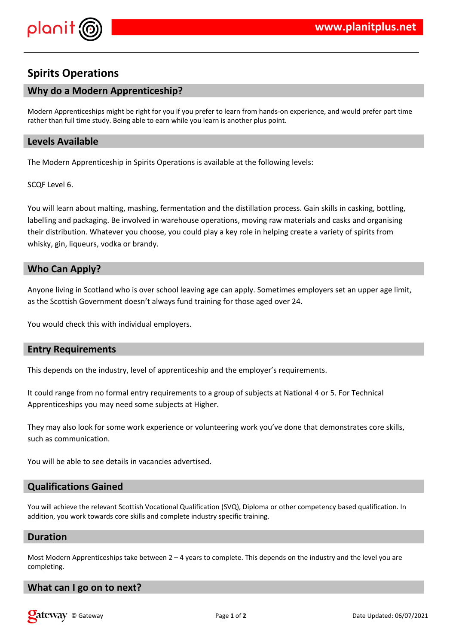

# **Spirits Operations**

# **Why do a Modern Apprenticeship?**

Modern Apprenticeships might be right for you if you prefer to learn from hands-on experience, and would prefer part time rather than full time study. Being able to earn while you learn is another plus point.

## **Levels Available**

The Modern Apprenticeship in Spirits Operations is available at the following levels:

SCQF Level 6.

You will learn about malting, mashing, fermentation and the distillation process. Gain skills in casking, bottling, labelling and packaging. Be involved in warehouse operations, moving raw materials and casks and organising their distribution. Whatever you choose, you could play a key role in helping create a variety of spirits from whisky, gin, liqueurs, vodka or brandy.

# **Who Can Apply?**

Anyone living in Scotland who is over school leaving age can apply. Sometimes employers set an upper age limit, as the Scottish Government doesn't always fund training for those aged over 24.

You would check this with individual employers.

# **Entry Requirements**

This depends on the industry, level of apprenticeship and the employer's requirements.

It could range from no formal entry requirements to a group of subjects at National 4 or 5. For Technical Apprenticeships you may need some subjects at Higher.

They may also look for some work experience or volunteering work you've done that demonstrates core skills, such as communication.

You will be able to see details in vacancies advertised.

### **Qualifications Gained**

You will achieve the relevant Scottish Vocational Qualification (SVQ), Diploma or other competency based qualification. In addition, you work towards core skills and complete industry specific training.

#### **Duration**

Most Modern Apprenticeships take between  $2 - 4$  years to complete. This depends on the industry and the level you are completing.

### **What can I go on to next?**